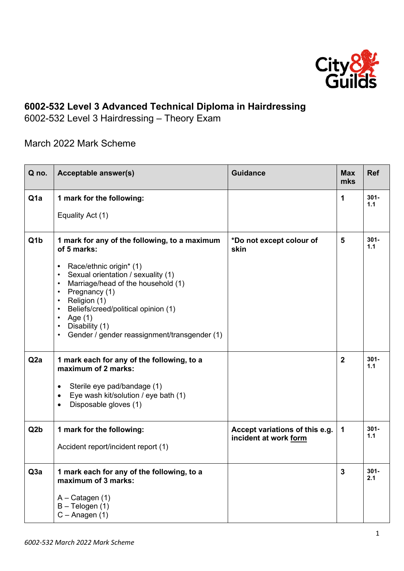

## **6002-532 Level 3 Advanced Technical Diploma in Hairdressing**

6002-532 Level 3 Hairdressing – Theory Exam

March 2022 Mark Scheme

| Q no.            | <b>Acceptable answer(s)</b>                                                                                                                                                                                                                                                                                                                                                                                                             | <b>Guidance</b>                                         | <b>Max</b><br>mks | <b>Ref</b>     |
|------------------|-----------------------------------------------------------------------------------------------------------------------------------------------------------------------------------------------------------------------------------------------------------------------------------------------------------------------------------------------------------------------------------------------------------------------------------------|---------------------------------------------------------|-------------------|----------------|
| Q <sub>1</sub> a | 1 mark for the following:<br>Equality Act (1)                                                                                                                                                                                                                                                                                                                                                                                           |                                                         | 1                 | $301 -$<br>1.1 |
| Q <sub>1</sub> b | 1 mark for any of the following, to a maximum<br>of 5 marks:<br>Race/ethnic origin* (1)<br>٠<br>Sexual orientation / sexuality (1)<br>$\bullet$<br>Marriage/head of the household (1)<br>$\bullet$<br>Pregnancy (1)<br>$\bullet$<br>Religion (1)<br>$\bullet$<br>Beliefs/creed/political opinion (1)<br>$\bullet$<br>Age $(1)$<br>$\bullet$<br>Disability (1)<br>$\bullet$<br>Gender / gender reassignment/transgender (1)<br>$\bullet$ | *Do not except colour of<br>skin                        | 5                 | $301 -$<br>1.1 |
| Q <sub>2</sub> a | 1 mark each for any of the following, to a<br>maximum of 2 marks:<br>Sterile eye pad/bandage (1)<br>٠<br>Eye wash kit/solution / eye bath (1)<br>$\bullet$<br>Disposable gloves (1)                                                                                                                                                                                                                                                     |                                                         | $\overline{2}$    | $301 -$<br>1.1 |
| Q <sub>2</sub> b | 1 mark for the following:<br>Accident report/incident report (1)                                                                                                                                                                                                                                                                                                                                                                        | Accept variations of this e.g.<br>incident at work form | 1                 | $301 -$<br>1.1 |
| Q3a              | 1 mark each for any of the following, to a<br>maximum of 3 marks:<br>$A -$ Catagen (1)<br>$B - Telogen(1)$<br>$C - A$ nagen $(1)$                                                                                                                                                                                                                                                                                                       |                                                         | 3                 | $301 -$<br>2.1 |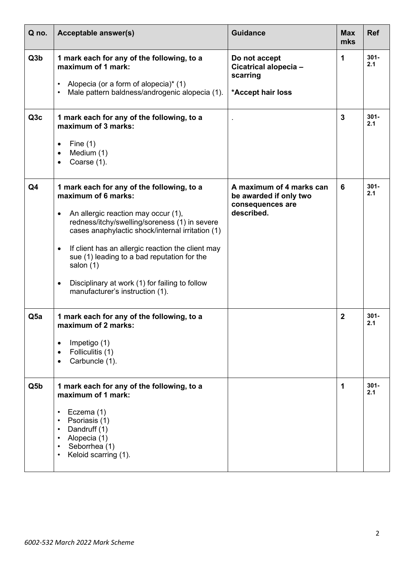| Q no.            | Acceptable answer(s)                                                                                                                                                                                                                                                                                                                                                                                                                                       | <b>Guidance</b>                                                                      | <b>Max</b><br>mks | <b>Ref</b>     |
|------------------|------------------------------------------------------------------------------------------------------------------------------------------------------------------------------------------------------------------------------------------------------------------------------------------------------------------------------------------------------------------------------------------------------------------------------------------------------------|--------------------------------------------------------------------------------------|-------------------|----------------|
| Q <sub>3</sub> b | 1 mark each for any of the following, to a<br>maximum of 1 mark:<br>Alopecia (or a form of alopecia)* (1)<br>Male pattern baldness/androgenic alopecia (1).<br>$\bullet$                                                                                                                                                                                                                                                                                   | Do not accept<br>Cicatrical alopecia-<br>scarring<br>*Accept hair loss               | 1                 | $301 -$<br>2.1 |
| Q <sub>3</sub> c | 1 mark each for any of the following, to a<br>maximum of 3 marks:<br>Fine $(1)$<br>٠<br>Medium (1)<br>$\bullet$<br>Coarse (1).<br>$\bullet$                                                                                                                                                                                                                                                                                                                |                                                                                      | 3                 | $301 -$<br>2.1 |
| Q4               | 1 mark each for any of the following, to a<br>maximum of 6 marks:<br>An allergic reaction may occur (1),<br>$\bullet$<br>redness/itchy/swelling/soreness (1) in severe<br>cases anaphylactic shock/internal irritation (1)<br>If client has an allergic reaction the client may<br>$\bullet$<br>sue (1) leading to a bad reputation for the<br>salon (1)<br>Disciplinary at work (1) for failing to follow<br>$\bullet$<br>manufacturer's instruction (1). | A maximum of 4 marks can<br>be awarded if only two<br>consequences are<br>described. | 6                 | $301 -$<br>2.1 |
| Q <sub>5a</sub>  | 1 mark each for any of the following, to a<br>maximum of 2 marks:<br>Impetigo (1)<br>$\bullet$<br>Folliculitis (1)<br>$\bullet$<br>Carbuncle (1).<br>$\bullet$                                                                                                                                                                                                                                                                                             |                                                                                      | $\mathbf{2}$      | $301 -$<br>2.1 |
| Q5b              | 1 mark each for any of the following, to a<br>maximum of 1 mark:<br>Eczema (1)<br>$\bullet$<br>Psoriasis (1)<br>$\bullet$<br>Dandruff (1)<br>$\bullet$<br>Alopecia (1)<br>$\bullet$<br>Seborrhea (1)<br>$\bullet$<br>Keloid scarring (1).<br>$\bullet$                                                                                                                                                                                                     |                                                                                      | 1                 | $301 -$<br>2.1 |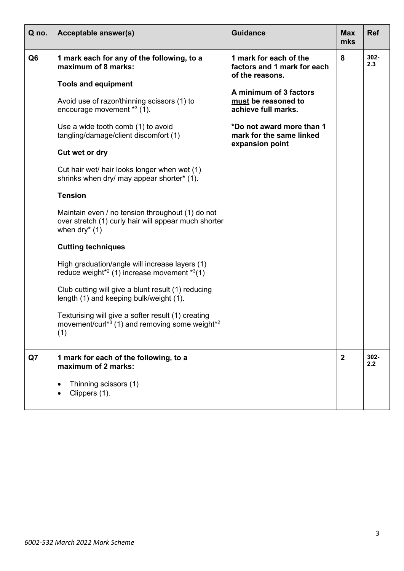| Q no.          | Acceptable answer(s)                                                                                                                                                                                                                                                                                                                                                                                                                                                                                                                       | <b>Guidance</b>                                                                                                                                                                                                              | <b>Max</b><br>mks | <b>Ref</b>     |
|----------------|--------------------------------------------------------------------------------------------------------------------------------------------------------------------------------------------------------------------------------------------------------------------------------------------------------------------------------------------------------------------------------------------------------------------------------------------------------------------------------------------------------------------------------------------|------------------------------------------------------------------------------------------------------------------------------------------------------------------------------------------------------------------------------|-------------------|----------------|
| Q <sub>6</sub> | 1 mark each for any of the following, to a<br>maximum of 8 marks:<br><b>Tools and equipment</b><br>Avoid use of razor/thinning scissors (1) to<br>encourage movement $*3$ (1).<br>Use a wide tooth comb (1) to avoid<br>tangling/damage/client discomfort (1)<br>Cut wet or dry<br>Cut hair wet/ hair looks longer when wet (1)<br>shrinks when dry/ may appear shorter* (1).                                                                                                                                                              | 1 mark for each of the<br>factors and 1 mark for each<br>of the reasons.<br>A minimum of 3 factors<br>must be reasoned to<br>achieve full marks.<br>*Do not award more than 1<br>mark for the same linked<br>expansion point | 8                 | 302-<br>2.3    |
|                | <b>Tension</b><br>Maintain even / no tension throughout (1) do not<br>over stretch (1) curly hair will appear much shorter<br>when $\text{dry}^{*}(1)$<br><b>Cutting techniques</b><br>High graduation/angle will increase layers (1)<br>reduce weight <sup>*2</sup> (1) increase movement $*3(1)$<br>Club cutting will give a blunt result (1) reducing<br>length (1) and keeping bulk/weight (1).<br>Texturising will give a softer result (1) creating<br>movement/curl <sup>*3</sup> (1) and removing some weight <sup>*2</sup><br>(1) |                                                                                                                                                                                                                              |                   |                |
| Q7             | 1 mark for each of the following, to a<br>maximum of 2 marks:<br>Thinning scissors (1)<br>Clippers (1).                                                                                                                                                                                                                                                                                                                                                                                                                                    |                                                                                                                                                                                                                              | $\overline{2}$    | $302 -$<br>2.2 |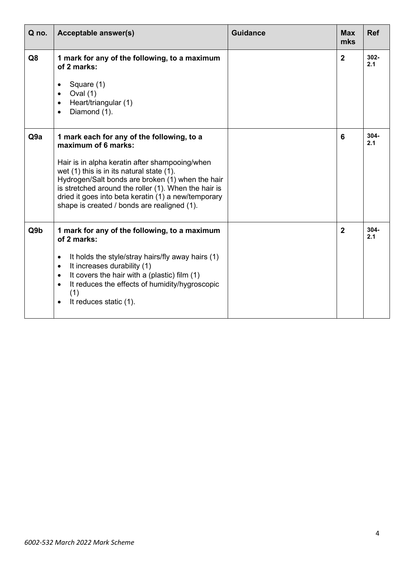| Q no.           | Acceptable answer(s)                                                                                                                                                                                                                                                                                                                                                               | <b>Guidance</b> | <b>Max</b><br>mks | <b>Ref</b>     |
|-----------------|------------------------------------------------------------------------------------------------------------------------------------------------------------------------------------------------------------------------------------------------------------------------------------------------------------------------------------------------------------------------------------|-----------------|-------------------|----------------|
| Q <sub>8</sub>  | 1 mark for any of the following, to a maximum<br>of 2 marks:<br>Square (1)<br>Oval $(1)$<br>$\bullet$<br>Heart/triangular (1)<br>$\bullet$<br>Diamond (1).<br>$\bullet$                                                                                                                                                                                                            |                 | $\overline{2}$    | 302-<br>2.1    |
| Q9a             | 1 mark each for any of the following, to a<br>maximum of 6 marks:<br>Hair is in alpha keratin after shampooing/when<br>wet (1) this is in its natural state (1).<br>Hydrogen/Salt bonds are broken (1) when the hair<br>is stretched around the roller (1). When the hair is<br>dried it goes into beta keratin (1) a new/temporary<br>shape is created / bonds are realigned (1). |                 | 6                 | $304 -$<br>2.1 |
| Q9 <sub>b</sub> | 1 mark for any of the following, to a maximum<br>of 2 marks:<br>It holds the style/stray hairs/fly away hairs (1)<br>$\bullet$<br>It increases durability (1)<br>$\bullet$<br>It covers the hair with a (plastic) film (1)<br>$\bullet$<br>It reduces the effects of humidity/hygroscopic<br>$\bullet$<br>(1)<br>It reduces static (1).<br>$\bullet$                               |                 | $\overline{2}$    | $304 -$<br>2.1 |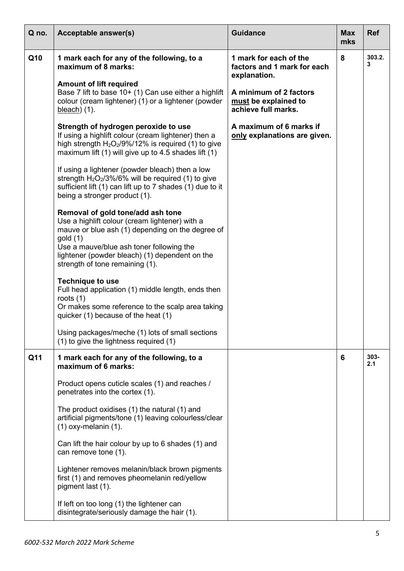| Q no. | Acceptable answer(s)                                                                                                                                                                                                                                                                | <b>Guidance</b>                                                       | <b>Max</b><br>mks | <b>Ref</b>  |
|-------|-------------------------------------------------------------------------------------------------------------------------------------------------------------------------------------------------------------------------------------------------------------------------------------|-----------------------------------------------------------------------|-------------------|-------------|
| Q10   | 1 mark each for any of the following, to a<br>maximum of 8 marks:                                                                                                                                                                                                                   | 1 mark for each of the<br>factors and 1 mark for each<br>explanation. | 8                 | 303.2.<br>3 |
|       | <b>Amount of lift required</b><br>Base 7 lift to base 10+ (1) Can use either a highlift<br>colour (cream lightener) (1) or a lightener (powder<br>$bleach)$ (1).                                                                                                                    | A minimum of 2 factors<br>must be explained to<br>achieve full marks. |                   |             |
|       | Strength of hydrogen peroxide to use<br>If using a highlift colour (cream lightener) then a<br>high strength $H_2O_2/9\%/12\%$ is required (1) to give<br>maximum lift $(1)$ will give up to 4.5 shades lift $(1)$                                                                  | A maximum of 6 marks if<br>only explanations are given.               |                   |             |
|       | If using a lightener (powder bleach) then a low<br>strength $H_2O_2/3\%/6\%$ will be required (1) to give<br>sufficient lift (1) can lift up to 7 shades (1) due to it<br>being a stronger product (1).                                                                             |                                                                       |                   |             |
|       | Removal of gold tone/add ash tone<br>Use a highlift colour (cream lightener) with a<br>mauve or blue ash (1) depending on the degree of<br>gold(1)<br>Use a mauve/blue ash toner following the<br>lightener (powder bleach) (1) dependent on the<br>strength of tone remaining (1). |                                                                       |                   |             |
|       | <b>Technique to use</b><br>Full head application (1) middle length, ends then<br>roots $(1)$<br>Or makes some reference to the scalp area taking<br>quicker (1) because of the heat (1)                                                                                             |                                                                       |                   |             |
|       | Using packages/meche (1) lots of small sections<br>(1) to give the lightness required (1)                                                                                                                                                                                           |                                                                       |                   |             |
| Q11   | 1 mark each for any of the following, to a<br>maximum of 6 marks:                                                                                                                                                                                                                   |                                                                       | 6                 | 303-<br>2.1 |
|       | Product opens cuticle scales (1) and reaches /<br>penetrates into the cortex (1).                                                                                                                                                                                                   |                                                                       |                   |             |
|       | The product oxidises (1) the natural (1) and<br>artificial pigments/tone (1) leaving colourless/clear<br>$(1)$ oxy-melanin $(1)$ .                                                                                                                                                  |                                                                       |                   |             |
|       | Can lift the hair colour by up to 6 shades (1) and<br>can remove tone (1).                                                                                                                                                                                                          |                                                                       |                   |             |
|       | Lightener removes melanin/black brown pigments<br>first (1) and removes pheomelanin red/yellow<br>pigment last (1).                                                                                                                                                                 |                                                                       |                   |             |
|       | If left on too long (1) the lightener can<br>disintegrate/seriously damage the hair (1).                                                                                                                                                                                            |                                                                       |                   |             |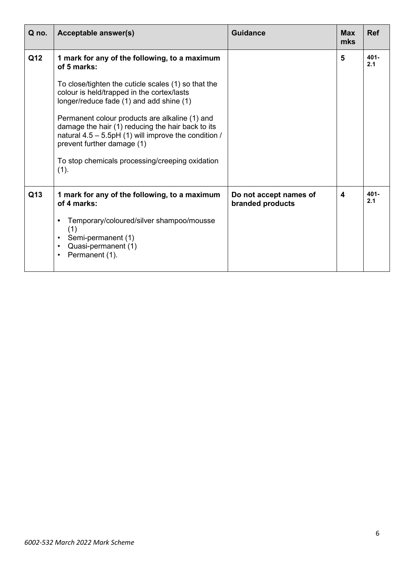| Q no. | Acceptable answer(s)                                                                                                                                                                         | <b>Guidance</b>                            | <b>Max</b><br>mks | <b>Ref</b>     |
|-------|----------------------------------------------------------------------------------------------------------------------------------------------------------------------------------------------|--------------------------------------------|-------------------|----------------|
| Q12   | 1 mark for any of the following, to a maximum<br>of 5 marks:                                                                                                                                 |                                            | 5                 | $401 -$<br>2.1 |
|       | To close/tighten the cuticle scales (1) so that the<br>colour is held/trapped in the cortex/lasts<br>longer/reduce fade (1) and add shine (1)                                                |                                            |                   |                |
|       | Permanent colour products are alkaline (1) and<br>damage the hair (1) reducing the hair back to its<br>natural $4.5 - 5.5$ pH (1) will improve the condition /<br>prevent further damage (1) |                                            |                   |                |
|       | To stop chemicals processing/creeping oxidation<br>(1).                                                                                                                                      |                                            |                   |                |
| Q13   | 1 mark for any of the following, to a maximum<br>of 4 marks:                                                                                                                                 | Do not accept names of<br>branded products | 4                 | $401 -$<br>2.1 |
|       | Temporary/coloured/silver shampoo/mousse<br>(1)<br>Semi-permanent (1)<br>٠<br>Quasi-permanent (1)<br>٠<br>Permanent (1).<br>$\bullet$                                                        |                                            |                   |                |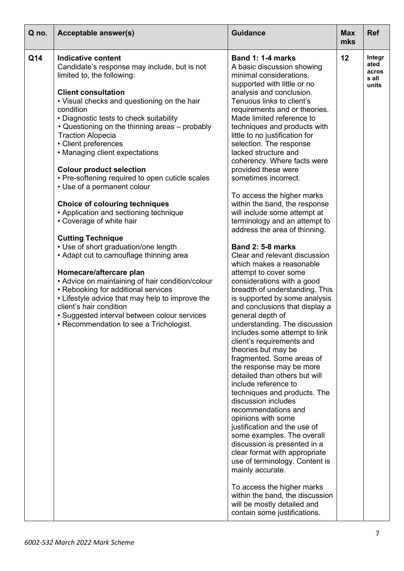| Q no. | <b>Acceptable answer(s)</b>                                                                                                                                                                                                                                                                                                                                                                                                                                         | <b>Guidance</b>                                                                                                                                                                                                                                                                                                                                                                                                                                                                                                                                                                                                                                                                                                                                                                                        | <b>Max</b><br>mks | <b>Ref</b>                                |
|-------|---------------------------------------------------------------------------------------------------------------------------------------------------------------------------------------------------------------------------------------------------------------------------------------------------------------------------------------------------------------------------------------------------------------------------------------------------------------------|--------------------------------------------------------------------------------------------------------------------------------------------------------------------------------------------------------------------------------------------------------------------------------------------------------------------------------------------------------------------------------------------------------------------------------------------------------------------------------------------------------------------------------------------------------------------------------------------------------------------------------------------------------------------------------------------------------------------------------------------------------------------------------------------------------|-------------------|-------------------------------------------|
| Q14   | Indicative content<br>Candidate's response may include, but is not<br>limited to, the following:<br><b>Client consultation</b><br>• Visual checks and questioning on the hair<br>condition<br>• Diagnostic tests to check suitability<br>• Questioning on the thinning areas – probably<br><b>Traction Alopecia</b><br>• Client preferences<br>• Managing client expectations<br><b>Colour product selection</b><br>• Pre-softening required to open cuticle scales | Band 1: 1-4 marks<br>A basic discussion showing<br>minimal considerations,<br>supported with little or no<br>analysis and conclusion.<br>Tenuous links to client's<br>requirements and or theories.<br>Made limited reference to<br>techniques and products with<br>little to no justification for<br>selection. The response<br>lacked structure and<br>coherency. Where facts were<br>provided these were<br>sometimes incorrect.                                                                                                                                                                                                                                                                                                                                                                    | 12                | Integr<br>ated<br>acros<br>s all<br>units |
|       | • Use of a permanent colour<br><b>Choice of colouring techniques</b><br>• Application and sectioning technique<br>• Coverage of white hair                                                                                                                                                                                                                                                                                                                          | To access the higher marks<br>within the band, the response<br>will include some attempt at<br>terminology and an attempt to<br>address the area of thinning.                                                                                                                                                                                                                                                                                                                                                                                                                                                                                                                                                                                                                                          |                   |                                           |
|       | <b>Cutting Technique</b><br>• Use of short graduation/one length<br>• Adapt cut to camouflage thinning area<br>Homecare/aftercare plan<br>• Advice on maintaining of hair condition/colour<br>• Rebooking for additional services<br>• Lifestyle advice that may help to improve the<br>client's hair condition<br>• Suggested interval between colour services<br>• Recommendation to see a Trichologist.                                                          | <b>Band 2: 5-8 marks</b><br>Clear and relevant discussion<br>which makes a reasonable<br>attempt to cover some<br>considerations with a good<br>breadth of understanding. This<br>is supported by some analysis<br>and conclusions that display a<br>general depth of<br>understanding. The discussion<br>includes some attempt to link<br>client's requirements and<br>theories but may be<br>fragmented. Some areas of<br>the response may be more<br>detailed than others but will<br>include reference to<br>techniques and products. The<br>discussion includes<br>recommendations and<br>opinions with some<br>justification and the use of<br>some examples. The overall<br>discussion is presented in a<br>clear format with appropriate<br>use of terminology. Content is<br>mainly accurate. |                   |                                           |
|       |                                                                                                                                                                                                                                                                                                                                                                                                                                                                     | To access the higher marks<br>within the band, the discussion<br>will be mostly detailed and<br>contain some justifications.                                                                                                                                                                                                                                                                                                                                                                                                                                                                                                                                                                                                                                                                           |                   |                                           |